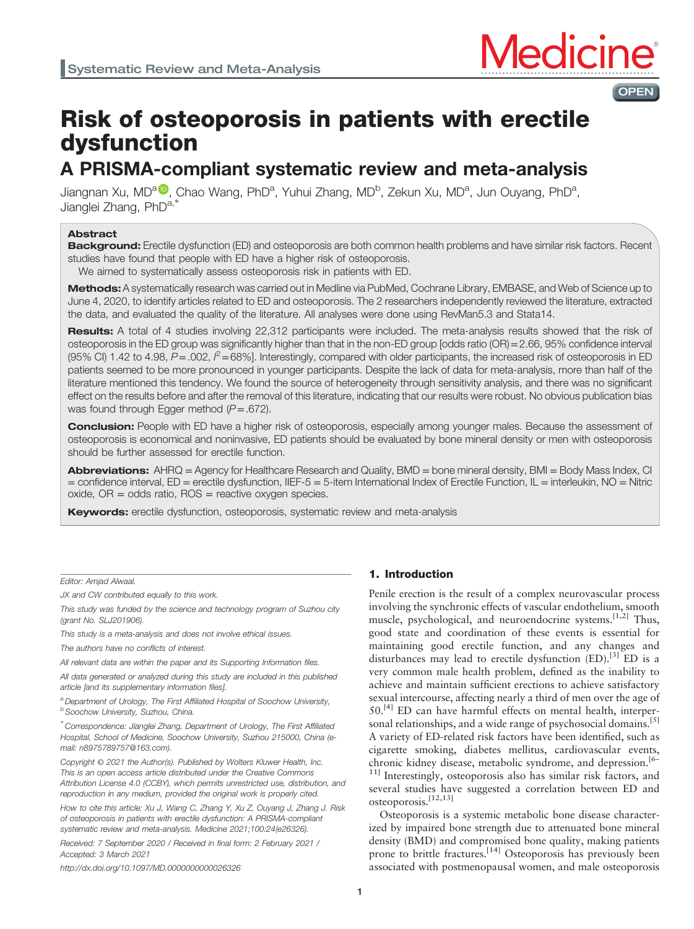

# Risk of osteoporosis in patients with erectile dysfunction

## A PRISMA-compliant systematic review and meta-analysis

Ji[a](https://orcid.org/0000-0001-5307-2786)ngnan Xu, MD<sup>a (D</sup>, Chao Wang, PhD<sup>a</sup>, Yuhui Zhang, MD<sup>b</sup>, Zekun Xu, MD<sup>a</sup>, Jun Ouyang, PhD<sup>a</sup>, Jianglei Zhang, PhD<sup>a,\*</sup>

## Abstract

Background: Erectile dysfunction (ED) and osteoporosis are both common health problems and have similar risk factors. Recent studies have found that people with ED have a higher risk of osteoporosis.

We aimed to systematically assess osteoporosis risk in patients with ED.

Methods: A systematically research was carried out in Medline via PubMed, Cochrane Library, EMBASE, and Web of Science up to June 4, 2020, to identify articles related to ED and osteoporosis. The 2 researchers independently reviewed the literature, extracted the data, and evaluated the quality of the literature. All analyses were done using RevMan5.3 and Stata14.

Results: A total of 4 studies involving 22,312 participants were included. The meta-analysis results showed that the risk of osteoporosis in the ED group was significantly higher than that in the non-ED group [odds ratio (OR)=2.66, 95% confidence interval (95% CI) 1.42 to 4.98,  $P = 0.02$ ,  $P = 68$ %]. Interestingly, compared with older participants, the increased risk of osteoporosis in ED patients seemed to be more pronounced in younger participants. Despite the lack of data for meta-analysis, more than half of the literature mentioned this tendency. We found the source of heterogeneity through sensitivity analysis, and there was no significant effect on the results before and after the removal of this literature, indicating that our results were robust. No obvious publication bias was found through Egger method  $(P=.672)$ .

**Conclusion:** People with ED have a higher risk of osteoporosis, especially among younger males. Because the assessment of osteoporosis is economical and noninvasive, ED patients should be evaluated by bone mineral density or men with osteoporosis should be further assessed for erectile function.

Abbreviations: AHRQ = Agency for Healthcare Research and Quality, BMD = bone mineral density, BMI = Body Mass Index, CI = confidence interval, ED = erectile dysfunction, IIEF-5 = 5-item International Index of Erectile Function, IL = interleukin, NO = Nitric  $o$ xide,  $OR = odds$  ratio,  $ROS = reactive$  oxygen species.

Keywords: erectile dysfunction, osteoporosis, systematic review and meta-analysis

Editor: Amjad Alwaal.

JX and CW contributed equally to this work.

This study was funded by the science and technology program of Suzhou city (grant No. SLJ201906).

This study is a meta-analysis and does not involve ethical issues.

The authors have no conflicts of interest.

All relevant data are within the paper and its Supporting Information files.

All data generated or analyzed during this study are included in this published article [and its supplementary information files].

<sup>a</sup> Department of Urology, The First Affiliated Hospital of Soochow University,  $<sup>b</sup>$  Soochow University, Suzhou, China.</sup>

∗ Correspondence: Jianglei Zhang, Department of Urology, The First Affiliated Hospital, School of Medicine, Soochow University, Suzhou 215000, China (email: [n8975789757@163.com](mailto:n8975789757@163.com)).

Copyright © 2021 the Author(s). Published by Wolters Kluwer Health, Inc. This is an open access article distributed under the [Creative Commons](http://creativecommons.org/licenses/by/4.0) [Attribution License 4.0](http://creativecommons.org/licenses/by/4.0) (CCBY), which permits unrestricted use, distribution, and reproduction in any medium, provided the original work is properly cited.

How to cite this article: Xu J, Wang C, Zhang Y, Xu Z, Ouyang J, Zhang J. Risk of osteoporosis in patients with erectile dysfunction: A PRISMA-compliant systematic review and meta-analysis. Medicine 2021;100:24(e26326).

Received: 7 September 2020 / Received in final form: 2 February 2021 / Accepted: 3 March 2021

<http://dx.doi.org/10.1097/MD.0000000000026326>

## 1. Introduction

Penile erection is the result of a complex neurovascular process involving the synchronic effects of vascular endothelium, smooth muscle, psychological, and neuroendocrine systems.  $[1,2]$  Thus, good state and coordination of these events is essential for maintaining good erectile function, and any changes and disturbances may lead to erectile dysfunction  $(ED)$ .<sup>[\[3\]](#page-6-0)</sup> ED is a very common male health problem, defined as the inability to achieve and maintain sufficient erections to achieve satisfactory sexual intercourse, affecting nearly a third of men over the age of 50.<sup>[4]</sup> ED can have harmful effects on mental health, interper-sonal relationships, and a wide range of psychosocial domains.<sup>[\[5\]](#page-6-0)</sup> A variety of ED-related risk factors have been identified, such as cigarette smoking, diabetes mellitus, cardiovascular events, chronic kidney disease, metabolic syndrome, and depression.<sup>[6–</sup> <sup>11]</sup> Interestingly, osteoporosis also has similar risk factors, and several studies have suggested a correlation between ED and osteoporosis.[12,13]

Osteoporosis is a systemic metabolic bone disease characterized by impaired bone strength due to attenuated bone mineral density (BMD) and compromised bone quality, making patients prone to brittle fractures.<sup>[\[14\]](#page-7-0)</sup> Osteoporosis has previously been associated with postmenopausal women, and male osteoporosis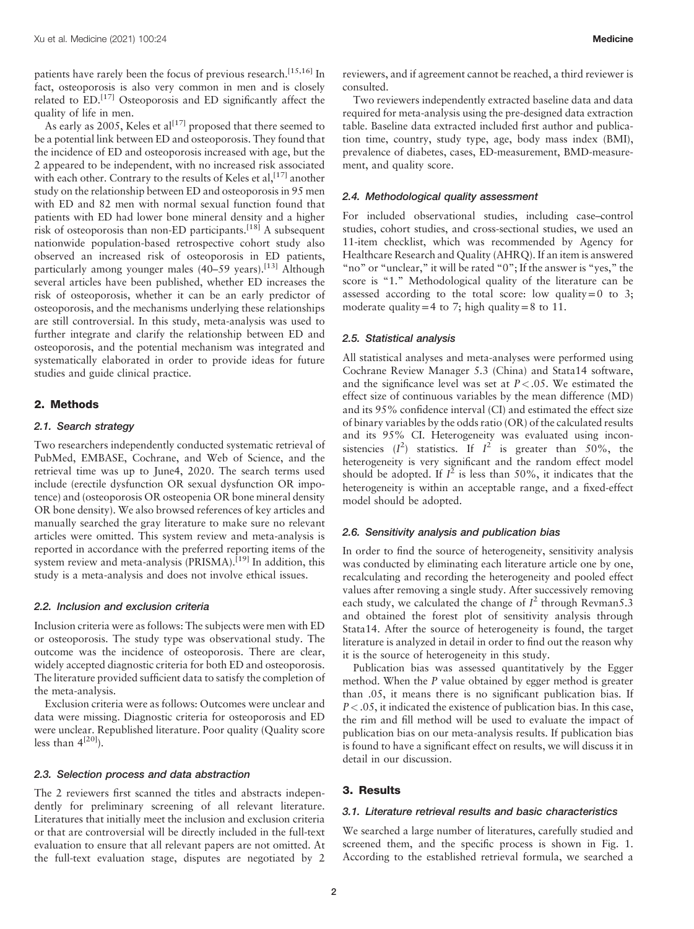patients have rarely been the focus of previous research.<sup>[15,16]</sup> In fact, osteoporosis is also very common in men and is closely related to ED.<sup>[\[17\]](#page-7-0)</sup> Osteoporosis and ED significantly affect the quality of life in men.

As early as 2005, Keles et al<sup>[\[17\]](#page-7-0)</sup> proposed that there seemed to be a potential link between ED and osteoporosis. They found that the incidence of ED and osteoporosis increased with age, but the 2 appeared to be independent, with no increased risk associated with each other. Contrary to the results of Keles et al, [\[17\]](#page-7-0) another study on the relationship between ED and osteoporosis in 95 men with ED and 82 men with normal sexual function found that patients with ED had lower bone mineral density and a higher risk of osteoporosis than non-ED participants.<sup>[\[18\]](#page-7-0)</sup> A subsequent nationwide population-based retrospective cohort study also observed an increased risk of osteoporosis in ED patients, particularly among younger males (40-59 years).<sup>[\[13\]](#page-7-0)</sup> Although several articles have been published, whether ED increases the risk of osteoporosis, whether it can be an early predictor of osteoporosis, and the mechanisms underlying these relationships are still controversial. In this study, meta-analysis was used to further integrate and clarify the relationship between ED and osteoporosis, and the potential mechanism was integrated and systematically elaborated in order to provide ideas for future studies and guide clinical practice.

## 2. Methods

#### 2.1. Search strategy

Two researchers independently conducted systematic retrieval of PubMed, EMBASE, Cochrane, and Web of Science, and the retrieval time was up to June4, 2020. The search terms used include (erectile dysfunction OR sexual dysfunction OR impotence) and (osteoporosis OR osteopenia OR bone mineral density OR bone density). We also browsed references of key articles and manually searched the gray literature to make sure no relevant articles were omitted. This system review and meta-analysis is reported in accordance with the preferred reporting items of the system review and meta-analysis (PRISMA).<sup>[\[19\]](#page-7-0)</sup> In addition, this study is a meta-analysis and does not involve ethical issues.

## 2.2. Inclusion and exclusion criteria

Inclusion criteria were as follows: The subjects were men with ED or osteoporosis. The study type was observational study. The outcome was the incidence of osteoporosis. There are clear, widely accepted diagnostic criteria for both ED and osteoporosis. The literature provided sufficient data to satisfy the completion of the meta-analysis.

Exclusion criteria were as follows: Outcomes were unclear and data were missing. Diagnostic criteria for osteoporosis and ED were unclear. Republished literature. Poor quality (Quality score less than  $4^{[20]}$  $4^{[20]}$  $4^{[20]}$ ).

## 2.3. Selection process and data abstraction

The 2 reviewers first scanned the titles and abstracts independently for preliminary screening of all relevant literature. Literatures that initially meet the inclusion and exclusion criteria or that are controversial will be directly included in the full-text evaluation to ensure that all relevant papers are not omitted. At the full-text evaluation stage, disputes are negotiated by 2 reviewers, and if agreement cannot be reached, a third reviewer is consulted.

Two reviewers independently extracted baseline data and data required for meta-analysis using the pre-designed data extraction table. Baseline data extracted included first author and publication time, country, study type, age, body mass index (BMI), prevalence of diabetes, cases, ED-measurement, BMD-measurement, and quality score.

## 2.4. Methodological quality assessment

For included observational studies, including case–control studies, cohort studies, and cross-sectional studies, we used an 11-item checklist, which was recommended by Agency for Healthcare Research and Quality (AHRQ). If an item is answered "no" or "unclear," it will be rated "0"; If the answer is "yes," the score is "1." Methodological quality of the literature can be assessed according to the total score: low quality=0 to 3; moderate quality=4 to 7; high quality=8 to 11.

## 2.5. Statistical analysis

All statistical analyses and meta-analyses were performed using Cochrane Review Manager 5.3 (China) and Stata14 software, and the significance level was set at  $P < .05$ . We estimated the effect size of continuous variables by the mean difference (MD) and its 95% confidence interval (CI) and estimated the effect size of binary variables by the odds ratio (OR) of the calculated results and its 95% CI. Heterogeneity was evaluated using inconsistencies  $(I^2)$  statistics. If  $I^2$  is greater than 50%, the heterogeneity is very significant and the random effect model should be adopted. If  $I^2$  is less than 50%, it indicates that the heterogeneity is within an acceptable range, and a fixed-effect model should be adopted.

#### 2.6. Sensitivity analysis and publication bias

In order to find the source of heterogeneity, sensitivity analysis was conducted by eliminating each literature article one by one, recalculating and recording the heterogeneity and pooled effect values after removing a single study. After successively removing each study, we calculated the change of  $I^2$  through Revman5.3 and obtained the forest plot of sensitivity analysis through Stata14. After the source of heterogeneity is found, the target literature is analyzed in detail in order to find out the reason why it is the source of heterogeneity in this study.

Publication bias was assessed quantitatively by the Egger method. When the P value obtained by egger method is greater than .05, it means there is no significant publication bias. If  $P < .05$ , it indicated the existence of publication bias. In this case, the rim and fill method will be used to evaluate the impact of publication bias on our meta-analysis results. If publication bias is found to have a significant effect on results, we will discuss it in detail in our discussion.

## 3. Results

#### 3.1. Literature retrieval results and basic characteristics

We searched a large number of literatures, carefully studied and screened them, and the specific process is shown in [Fig. 1.](#page-2-0) According to the established retrieval formula, we searched a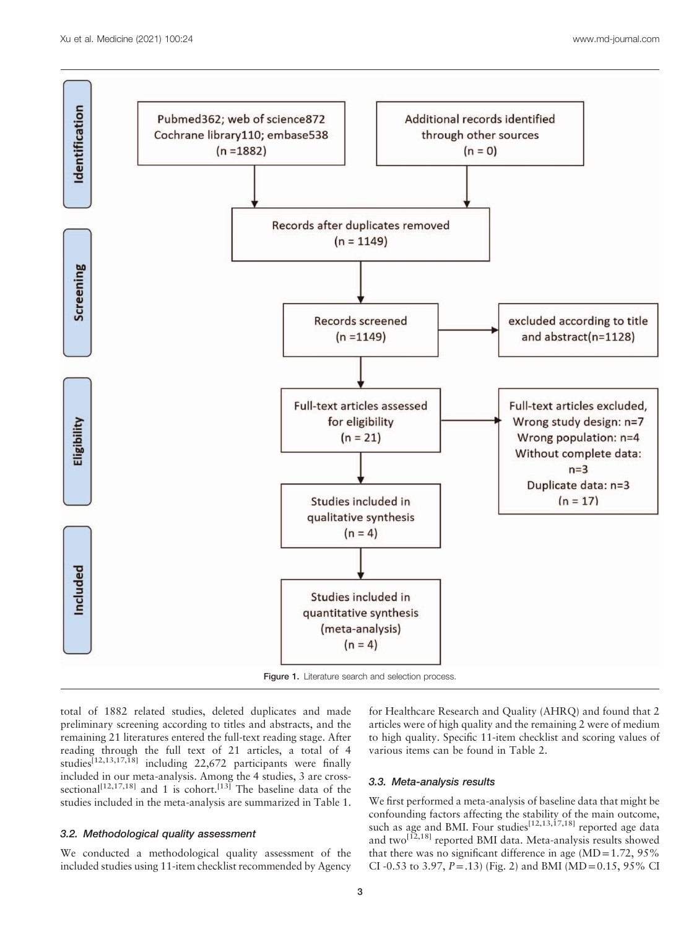<span id="page-2-0"></span>

total of 1882 related studies, deleted duplicates and made preliminary screening according to titles and abstracts, and the remaining 21 literatures entered the full-text reading stage. After reading through the full text of 21 articles, a total of 4 studies<sup>[12,13,17,18]</sup> including 22,672 participants were finally

included in our meta-analysis. Among the 4 studies, 3 are cross-sectional<sup>[12,17,18]</sup> and 1 is cohort.<sup>[\[13\]](#page-7-0)</sup> The baseline data of the studies included in the meta-analysis are summarized in [Table 1.](#page-3-0)

## 3.2. Methodological quality assessment

We conducted a methodological quality assessment of the included studies using 11-item checklist recommended by Agency

for Healthcare Research and Quality (AHRQ) and found that 2 articles were of high quality and the remaining 2 were of medium to high quality. Specific 11-item checklist and scoring values of various items can be found in [Table 2](#page-3-0).

## 3.3. Meta-analysis results

We first performed a meta-analysis of baseline data that might be confounding factors affecting the stability of the main outcome, such as age and BMI. Four studies<sup>[12,13,17,18]</sup> reported age data and two<sup>[12,18]</sup> reported BMI data. Meta-analysis results showed that there was no significant difference in age  $(MD=1.72, 95\%$ CI-0.53 to 3.97,  $P = .13$ ) [\(Fig. 2](#page-3-0)) and BMI (MD = 0.15, 95% CI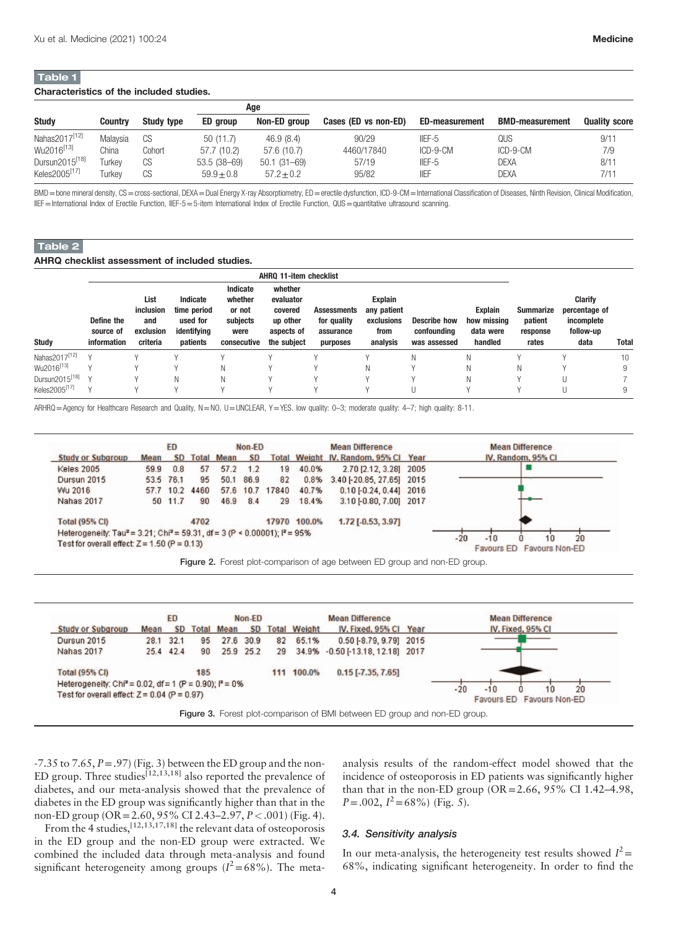#### <span id="page-3-0"></span>Characteristics of the included studies.

|                            |          |            |                 | Age             |                      |                       |                        |                      |  |
|----------------------------|----------|------------|-----------------|-----------------|----------------------|-----------------------|------------------------|----------------------|--|
| <b>Study</b>               | Countrv  | Study type | ED group        | Non-ED group    | Cases (ED vs non-ED) | <b>ED-measurement</b> | <b>BMD-measurement</b> | <b>Quality score</b> |  |
| Nahas2017 <sup>[12]</sup>  | Malavsia | CS         | 50(11.7)        | 46.9(8.4)       | 90/29                | IIEF-5                | QUS                    | 9/11                 |  |
| Wu2016 <sup>[13]</sup>     | China    | Cohort     | 57.7 (10.2)     | 57.6 (10.7)     | 4460/17840           | ICD-9-CM              | $ICD-9-CM$             | 7/9                  |  |
| Dursun2015 <sup>[18]</sup> | Turkev   | CS         | $53.5(38 - 69)$ | $50.1(31 - 69)$ | 57/19                | $IIF-5$               | DEXA                   | 8/11                 |  |
| Keles2005 <sup>[17]</sup>  | Turkev   | CS         | $59.9 + 0.8$    | $57.2 + 0.2$    | 95/82                | <b>IIFF</b>           | DEXA                   | 7/11                 |  |

BMD = bone mineral density, CS = cross-sectional, DEXA = Dual Energy X-ray Absorptiometry, ED = erectile dysfunction, ICD-9-CM = International Classification of Diseases, Ninth Revision, Clinical Modification, IIEF=International Index of Erectile Function, IIEF-5=5-item International Index of Erectile Function, QUS=quantitative ultrasound scanning.

## Table 2

AHRQ checklist assessment of included studies.

|                            | AHRO 11-item checklist                 |                                                   |                                                                |                                                                  |                                                                          |                                                     |                                                          |                                                    |                                                       |                                           |                                                             |              |
|----------------------------|----------------------------------------|---------------------------------------------------|----------------------------------------------------------------|------------------------------------------------------------------|--------------------------------------------------------------------------|-----------------------------------------------------|----------------------------------------------------------|----------------------------------------------------|-------------------------------------------------------|-------------------------------------------|-------------------------------------------------------------|--------------|
| <b>Study</b>               | Define the<br>source of<br>information | List<br>inclusion<br>and<br>exclusion<br>criteria | Indicate<br>time period<br>used for<br>identifying<br>patients | Indicate<br>whether<br>or not<br>subjects<br>were<br>consecutive | whether<br>evaluator<br>covered<br>up other<br>aspects of<br>the subject | Assessments<br>for quality<br>assurance<br>purposes | Explain<br>any patient<br>exclusions<br>from<br>analysis | <b>Describe how</b><br>confoundina<br>was assessed | <b>Explain</b><br>how missing<br>data were<br>handled | Summarize<br>patient<br>response<br>rates | Clarify<br>percentage of<br>incomplete<br>follow-up<br>data | <b>Total</b> |
| Nahas2017 <sup>[12]</sup>  | $\vee$                                 |                                                   |                                                                |                                                                  |                                                                          |                                                     |                                                          | N                                                  | N                                                     |                                           |                                                             | 10           |
| Wu2016 <sup>[13]</sup>     |                                        |                                                   |                                                                | Ν                                                                |                                                                          |                                                     | Ν                                                        |                                                    | N                                                     |                                           |                                                             | 9            |
| Dursun2015 <sup>[18]</sup> |                                        |                                                   | Ν                                                              | Ν                                                                |                                                                          |                                                     |                                                          |                                                    | N                                                     |                                           |                                                             |              |
| Keles2005 <sup>[17]</sup>  |                                        |                                                   |                                                                |                                                                  |                                                                          |                                                     |                                                          |                                                    |                                                       |                                           |                                                             | 9            |

ARHRQ=Agency for Healthcare Research and Quality, N=NO, U=UNCLEAR, Y=YES. low quality: 0–3; moderate quality: 4–7; high quality: 8-11.







 $-7.35$  to  $7.65$ ,  $P = .97$ ) (Fig. 3) between the ED group and the non-ED group. Three studies<sup>[12,13,18]</sup> also reported the prevalence of diabetes, and our meta-analysis showed that the prevalence of diabetes in the ED group was significantly higher than that in the non-ED group (OR=2.60, 95% CI 2.43–2.97, P<.001) [\(Fig. 4\)](#page-4-0). From the 4 studies,  $[12,13,17,18]$  the relevant data of osteoporosis analysis results of the random-effect model showed that the incidence of osteoporosis in ED patients was significantly higher than that in the non-ED group  $(OR = 2.66, 95\% \text{ CI } 1.42-4.98$ ,  $P = .002, I^2 = 68\%$  [\(Fig. 5\)](#page-4-0).

## 3.4. Sensitivity analysis

in the ED group and the non-ED group were extracted. We combined the included data through meta-analysis and found significant heterogeneity among groups  $(I^2=68\%)$ . The meta-

In our meta-analysis, the heterogeneity test results showed  $I^2$  = 68%, indicating significant heterogeneity. In order to find the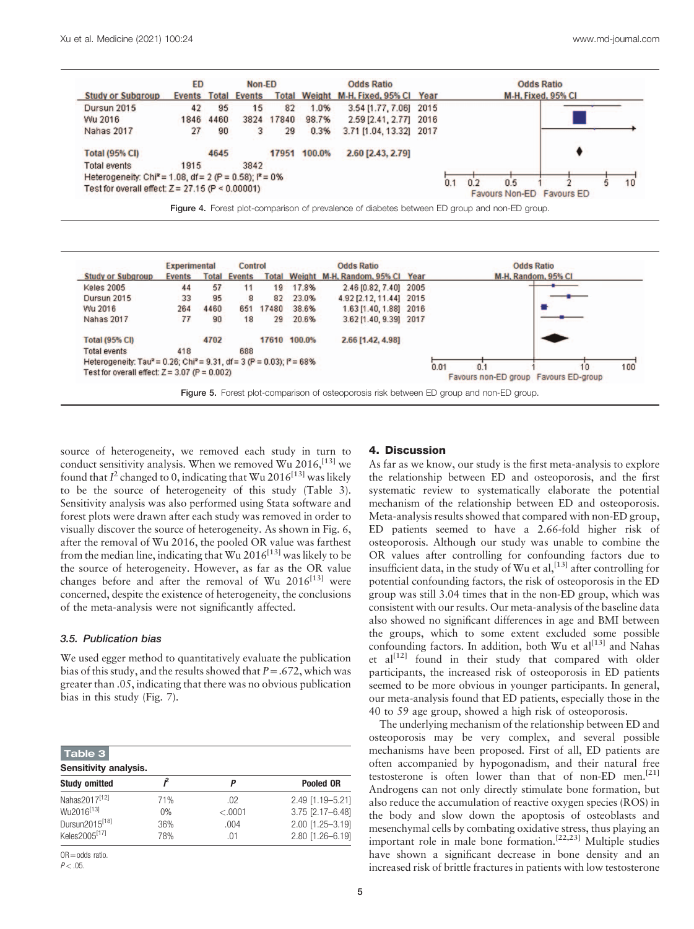<span id="page-4-0"></span>

|                                                                                                | <b>Experimental</b> |      | Control             |       |              | <b>Odds Ratio</b>                     |             | <b>Odds Ratio</b>                                  |
|------------------------------------------------------------------------------------------------|---------------------|------|---------------------|-------|--------------|---------------------------------------|-------------|----------------------------------------------------|
| <b>Study or Subgroup</b>                                                                       | <b>Events</b>       |      | <b>Total Events</b> |       |              | Total Weight M-H, Random, 95% Cl Year |             | M-H, Random, 95% CI                                |
| <b>Keles 2005</b>                                                                              | 44                  | 57   | 11                  | 19    | 17.8%        | 2.46 [0.82, 7.40] 2005                |             |                                                    |
| Dursun 2015                                                                                    | 33                  | 95   | 8                   | 82    | 23.0%        | 4.92 [2.12, 11.44] 2015               |             |                                                    |
| Wu 2016                                                                                        | 264                 | 4460 | 651                 | 17480 | 38.6%        | 1.63 [1.40, 1.88] 2016                |             |                                                    |
| <b>Nahas 2017</b>                                                                              | 77                  | 90   | 18                  | 29    | 20.6%        | 3.62 [1.40, 9.39] 2017                |             |                                                    |
| <b>Total (95% CI)</b>                                                                          |                     | 4702 |                     |       | 17610 100.0% | 2.66 [1.42, 4.98]                     |             |                                                    |
| <b>Total events</b>                                                                            | 418                 |      | 688                 |       |              |                                       |             |                                                    |
| Heterogeneity: Tau <sup>2</sup> = 0.26; Chi <sup>2</sup> = 9.31, df = 3 (P = 0.03); $P = 68\%$ |                     |      |                     |       |              |                                       |             |                                                    |
| Test for overall effect: $Z = 3.07$ (P = 0.002)                                                |                     |      |                     |       |              |                                       | 0.01<br>0.1 | 100<br>10<br>Favours non-ED group Favours ED-group |

Figure 5. Forest plot-comparison of osteoporosis risk between ED group and non-ED group.

source of heterogeneity, we removed each study in turn to conduct sensitivity analysis. When we removed Wu  $2016$ ,  $^{[13]}$  $^{[13]}$  $^{[13]}$  we found that  $I^2$  changed to 0, indicating that Wu 2016<sup>[13]</sup> was likely to be the source of heterogeneity of this study (Table 3). Sensitivity analysis was also performed using Stata software and forest plots were drawn after each study was removed in order to visually discover the source of heterogeneity. As shown in [Fig. 6,](#page-5-0) after the removal of Wu 2016, the pooled OR value was farthest from the median line, indicating that  $Wu 2016$ <sup>[13]</sup> was likely to be the source of heterogeneity. However, as far as the OR value changes before and after the removal of Wu 2016<sup>[13]</sup> were concerned, despite the existence of heterogeneity, the conclusions of the meta-analysis were not significantly affected.

## 3.5. Publication bias

We used egger method to quantitatively evaluate the publication bias of this study, and the results showed that  $P = .672$ , which was greater than .05, indicating that there was no obvious publication bias in this study [\(Fig. 7](#page-5-0)).

| Table 3                                                                           |                  |                        |                                                          |  |  |  |  |  |  |  |
|-----------------------------------------------------------------------------------|------------------|------------------------|----------------------------------------------------------|--|--|--|--|--|--|--|
| Sensitivity analysis.                                                             |                  |                        |                                                          |  |  |  |  |  |  |  |
| <b>Study omitted</b>                                                              |                  | Р                      | <b>Pooled OR</b>                                         |  |  |  |  |  |  |  |
| Nahas2017 <sup>[12]</sup><br>Wu2016 <sup>[13]</sup><br>Dursun2015 <sup>[18]</sup> | 71%<br>0%<br>36% | .02<br>< .0001<br>.004 | 2.49 [1.19-5.21]<br>3.75 [2.17-6.48]<br>2.00 [1.25-3.19] |  |  |  |  |  |  |  |
| Keles2005 <sup>[17]</sup>                                                         | 78%              | .01                    | 2.80 [1.26-6.19]                                         |  |  |  |  |  |  |  |

OR=odds ratio.

#### $P < 0.5$

#### 4. Discussion

As far as we know, our study is the first meta-analysis to explore the relationship between ED and osteoporosis, and the first systematic review to systematically elaborate the potential mechanism of the relationship between ED and osteoporosis. Meta-analysis results showed that compared with non-ED group, ED patients seemed to have a 2.66-fold higher risk of osteoporosis. Although our study was unable to combine the OR values after controlling for confounding factors due to insufficient data, in the study of Wu et al,  $[13]$  after controlling for potential confounding factors, the risk of osteoporosis in the ED group was still 3.04 times that in the non-ED group, which was consistent with our results. Our meta-analysis of the baseline data also showed no significant differences in age and BMI between the groups, which to some extent excluded some possible confounding factors. In addition, both Wu et  $al^{[13]}$  $al^{[13]}$  $al^{[13]}$  and Nahas et  $al^{[12]}$  $al^{[12]}$  $al^{[12]}$  found in their study that compared with older participants, the increased risk of osteoporosis in ED patients seemed to be more obvious in younger participants. In general, our meta-analysis found that ED patients, especially those in the 40 to 59 age group, showed a high risk of osteoporosis.

The underlying mechanism of the relationship between ED and osteoporosis may be very complex, and several possible mechanisms have been proposed. First of all, ED patients are often accompanied by hypogonadism, and their natural free testosterone is often lower than that of non-ED men.[\[21\]](#page-7-0) Androgens can not only directly stimulate bone formation, but also reduce the accumulation of reactive oxygen species (ROS) in the body and slow down the apoptosis of osteoblasts and mesenchymal cells by combating oxidative stress, thus playing an important role in male bone formation.[22,23] Multiple studies have shown a significant decrease in bone density and an increased risk of brittle fractures in patients with low testosterone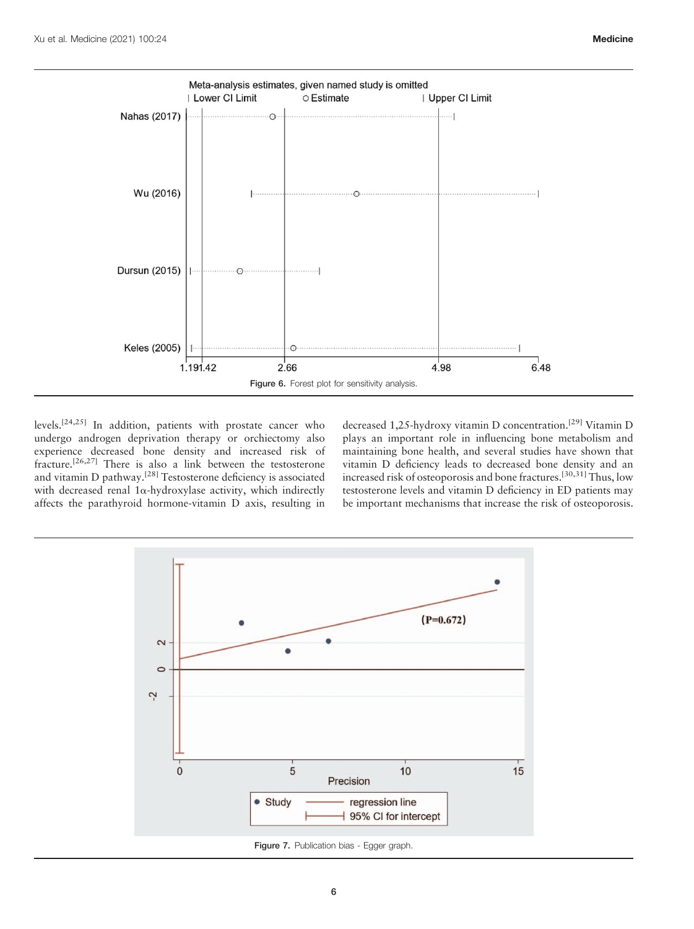<span id="page-5-0"></span>

levels.[24,25] In addition, patients with prostate cancer who undergo androgen deprivation therapy or orchiectomy also experience decreased bone density and increased risk of fracture.<sup>[26,27]</sup> There is also a link between the testosterone and vitamin D pathway.<sup>[\[28\]](#page-7-0)</sup> Testosterone deficiency is associated with decreased renal  $1\alpha$ -hydroxylase activity, which indirectly affects the parathyroid hormone-vitamin D axis, resulting in decreased 1,25-hydroxy vitamin D concentration.<sup>[\[29\]](#page-7-0)</sup> Vitamin D plays an important role in influencing bone metabolism and maintaining bone health, and several studies have shown that vitamin D deficiency leads to decreased bone density and an increased risk of osteoporosis and bone fractures.<sup>[30,31]</sup> Thus, low testosterone levels and vitamin D deficiency in ED patients may be important mechanisms that increase the risk of osteoporosis.

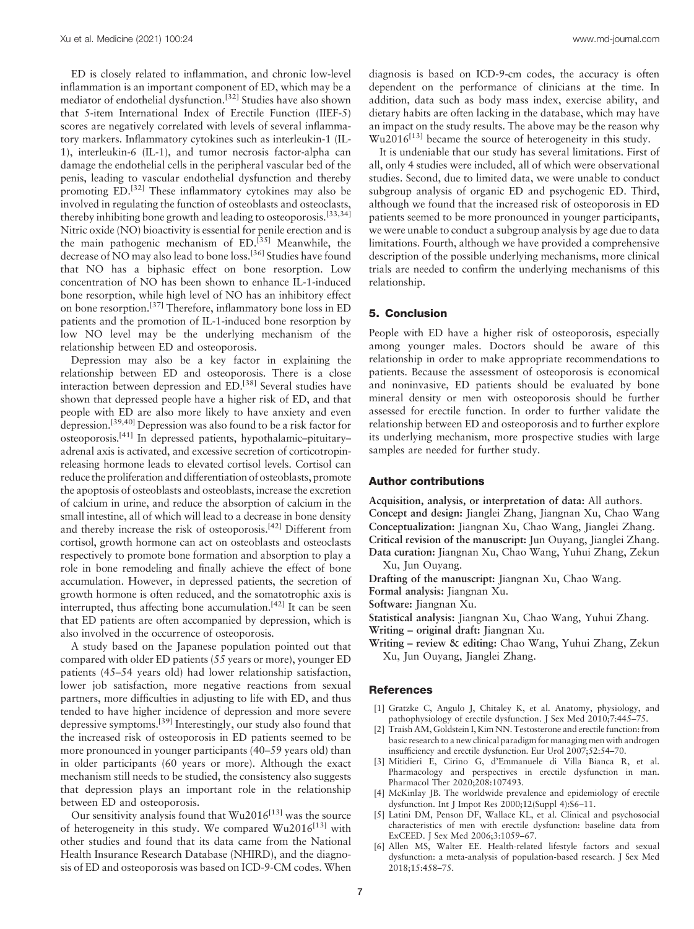<span id="page-6-0"></span>ED is closely related to inflammation, and chronic low-level inflammation is an important component of ED, which may be a mediator of endothelial dysfunction.[\[32\]](#page-7-0) Studies have also shown that 5-item International Index of Erectile Function (IIEF-5) scores are negatively correlated with levels of several inflammatory markers. Inflammatory cytokines such as interleukin-1 (IL-1), interleukin-6 (IL-1), and tumor necrosis factor-alpha can damage the endothelial cells in the peripheral vascular bed of the penis, leading to vascular endothelial dysfunction and thereby promoting ED.<sup>[\[32\]](#page-7-0)</sup> These inflammatory cytokines may also be involved in regulating the function of osteoblasts and osteoclasts, thereby inhibiting bone growth and leading to osteoporosis.<sup>[33,34]</sup> Nitric oxide (NO) bioactivity is essential for penile erection and is the main pathogenic mechanism of ED.<sup>[\[35\]](#page-7-0)</sup> Meanwhile, the decrease of NO may also lead to bone loss.[\[36\]](#page-7-0) Studies have found that NO has a biphasic effect on bone resorption. Low concentration of NO has been shown to enhance IL-1-induced bone resorption, while high level of NO has an inhibitory effect on bone resorption.[\[37\]](#page-7-0) Therefore, inflammatory bone loss in ED patients and the promotion of IL-1-induced bone resorption by low NO level may be the underlying mechanism of the relationship between ED and osteoporosis.

Depression may also be a key factor in explaining the relationship between ED and osteoporosis. There is a close interaction between depression and ED.<sup>[\[38\]](#page-7-0)</sup> Several studies have shown that depressed people have a higher risk of ED, and that people with ED are also more likely to have anxiety and even depression.[39,40] Depression was also found to be a risk factor for osteoporosis[.\[41\]](#page-7-0) In depressed patients, hypothalamic–pituitary– adrenal axis is activated, and excessive secretion of corticotropinreleasing hormone leads to elevated cortisol levels. Cortisol can reduce the proliferation and differentiation of osteoblasts, promote the apoptosis of osteoblasts and osteoblasts, increase the excretion of calcium in urine, and reduce the absorption of calcium in the small intestine, all of which will lead to a decrease in bone density and thereby increase the risk of osteoporosis.[\[42\]](#page-7-0) Different from cortisol, growth hormone can act on osteoblasts and osteoclasts respectively to promote bone formation and absorption to play a role in bone remodeling and finally achieve the effect of bone accumulation. However, in depressed patients, the secretion of growth hormone is often reduced, and the somatotrophic axis is interrupted, thus affecting bone accumulation.<sup>[42]</sup> It can be seen that ED patients are often accompanied by depression, which is also involved in the occurrence of osteoporosis.

A study based on the Japanese population pointed out that compared with older ED patients (55 years or more), younger ED patients (45–54 years old) had lower relationship satisfaction, lower job satisfaction, more negative reactions from sexual partners, more difficulties in adjusting to life with ED, and thus tended to have higher incidence of depression and more severe depressive symptoms.[\[39\]](#page-7-0) Interestingly, our study also found that the increased risk of osteoporosis in ED patients seemed to be more pronounced in younger participants (40–59 years old) than in older participants (60 years or more). Although the exact mechanism still needs to be studied, the consistency also suggests that depression plays an important role in the relationship between ED and osteoporosis.

Our sensitivity analysis found that  $Wu2016$ <sup>[\[13\]](#page-7-0)</sup> was the source of heterogeneity in this study. We compared  $Wu2016^{[13]}$  $Wu2016^{[13]}$  $Wu2016^{[13]}$  with other studies and found that its data came from the National Health Insurance Research Database (NHIRD), and the diagnosis of ED and osteoporosis was based on ICD-9-CM codes. When diagnosis is based on ICD-9-cm codes, the accuracy is often dependent on the performance of clinicians at the time. In addition, data such as body mass index, exercise ability, and dietary habits are often lacking in the database, which may have an impact on the study results. The above may be the reason why  $Wu2016$ <sup>[\[13\]](#page-7-0)</sup> became the source of heterogeneity in this study.

It is undeniable that our study has several limitations. First of all, only 4 studies were included, all of which were observational studies. Second, due to limited data, we were unable to conduct subgroup analysis of organic ED and psychogenic ED. Third, although we found that the increased risk of osteoporosis in ED patients seemed to be more pronounced in younger participants, we were unable to conduct a subgroup analysis by age due to data limitations. Fourth, although we have provided a comprehensive description of the possible underlying mechanisms, more clinical trials are needed to confirm the underlying mechanisms of this relationship.

## 5. Conclusion

People with ED have a higher risk of osteoporosis, especially among younger males. Doctors should be aware of this relationship in order to make appropriate recommendations to patients. Because the assessment of osteoporosis is economical and noninvasive, ED patients should be evaluated by bone mineral density or men with osteoporosis should be further assessed for erectile function. In order to further validate the relationship between ED and osteoporosis and to further explore its underlying mechanism, more prospective studies with large samples are needed for further study.

## Author contributions

Acquisition, analysis, or interpretation of data: All authors. Concept and design: Jianglei Zhang, Jiangnan Xu, Chao Wang Conceptualization: Jiangnan Xu, Chao Wang, Jianglei Zhang. Critical revision of the manuscript: Jun Ouyang, Jianglei Zhang. Data curation: Jiangnan Xu, Chao Wang, Yuhui Zhang, Zekun Xu, Jun Ouyang.

- Drafting of the manuscript: Jiangnan Xu, Chao Wang.
- Formal analysis: Jiangnan Xu.
- Software: Jiangnan Xu.

Statistical analysis: Jiangnan Xu, Chao Wang, Yuhui Zhang.

Writing – original draft: Jiangnan Xu.

Writing – review & editing: Chao Wang, Yuhui Zhang, Zekun Xu, Jun Ouyang, Jianglei Zhang.

## **References**

- [1] Gratzke C, Angulo J, Chitaley K, et al. Anatomy, physiology, and pathophysiology of erectile dysfunction. J Sex Med 2010;7:445–75.
- [2] Traish AM, Goldstein I, Kim NN. Testosterone and erectile function: from basic research to a new clinical paradigm for managing men with androgen insufficiency and erectile dysfunction. Eur Urol 2007;52:54–70.
- [3] Mitidieri E, Cirino G, d'Emmanuele di Villa Bianca R, et al. Pharmacology and perspectives in erectile dysfunction in man. Pharmacol Ther 2020;208:107493.
- [4] McKinlay JB. The worldwide prevalence and epidemiology of erectile dysfunction. Int J Impot Res 2000;12(Suppl 4):S6–11.
- [5] Latini DM, Penson DF, Wallace KL, et al. Clinical and psychosocial characteristics of men with erectile dysfunction: baseline data from ExCEED. J Sex Med 2006;3:1059–67.
- [6] Allen MS, Walter EE. Health-related lifestyle factors and sexual dysfunction: a meta-analysis of population-based research. J Sex Med 2018;15:458–75.